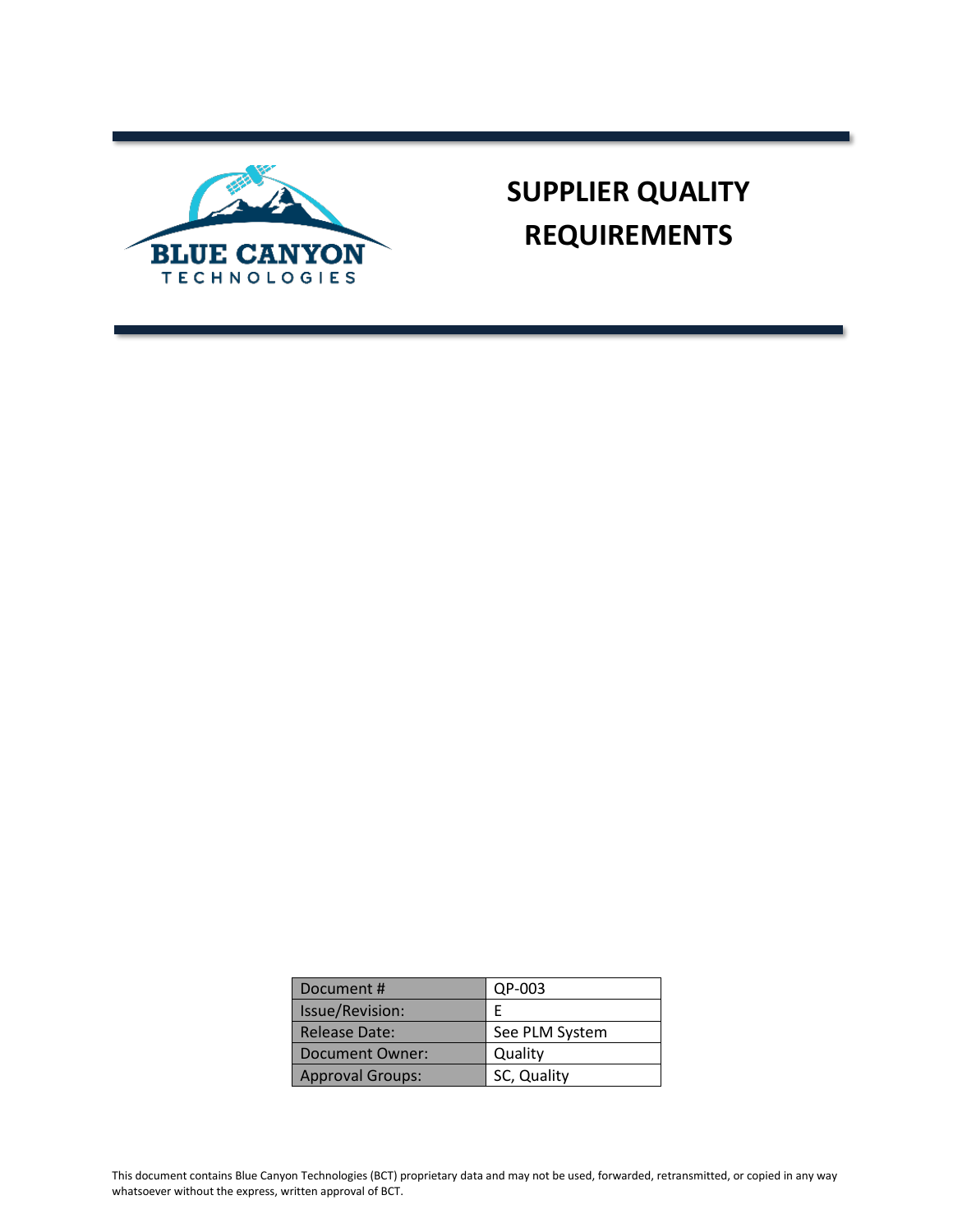

# **SUPPLIER QUALITY REQUIREMENTS**

| Document #              | QP-003         |
|-------------------------|----------------|
| Issue/Revision:         |                |
| <b>Release Date:</b>    | See PLM System |
| <b>Document Owner:</b>  | Quality        |
| <b>Approval Groups:</b> | SC, Quality    |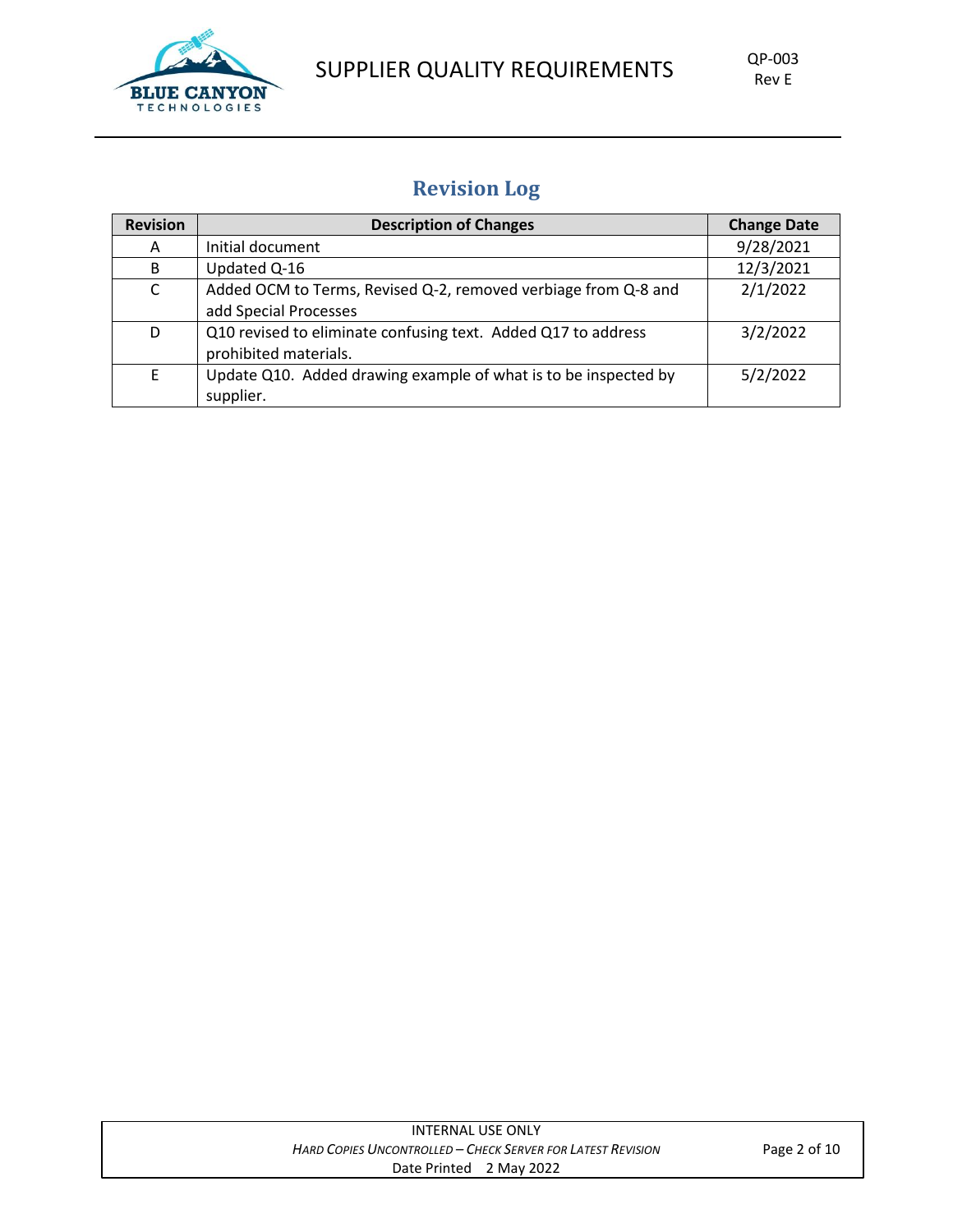

# SUPPLIER QUALITY REQUIREMENTS QP-003

## **Revision Log**

| <b>Revision</b> | <b>Description of Changes</b>                                                           | <b>Change Date</b> |
|-----------------|-----------------------------------------------------------------------------------------|--------------------|
| A               | Initial document                                                                        | 9/28/2021          |
| B               | Updated Q-16                                                                            | 12/3/2021          |
| C               | Added OCM to Terms, Revised Q-2, removed verbiage from Q-8 and<br>add Special Processes | 2/1/2022           |
| D               | Q10 revised to eliminate confusing text. Added Q17 to address<br>prohibited materials.  | 3/2/2022           |
| F               | Update Q10. Added drawing example of what is to be inspected by<br>supplier.            | 5/2/2022           |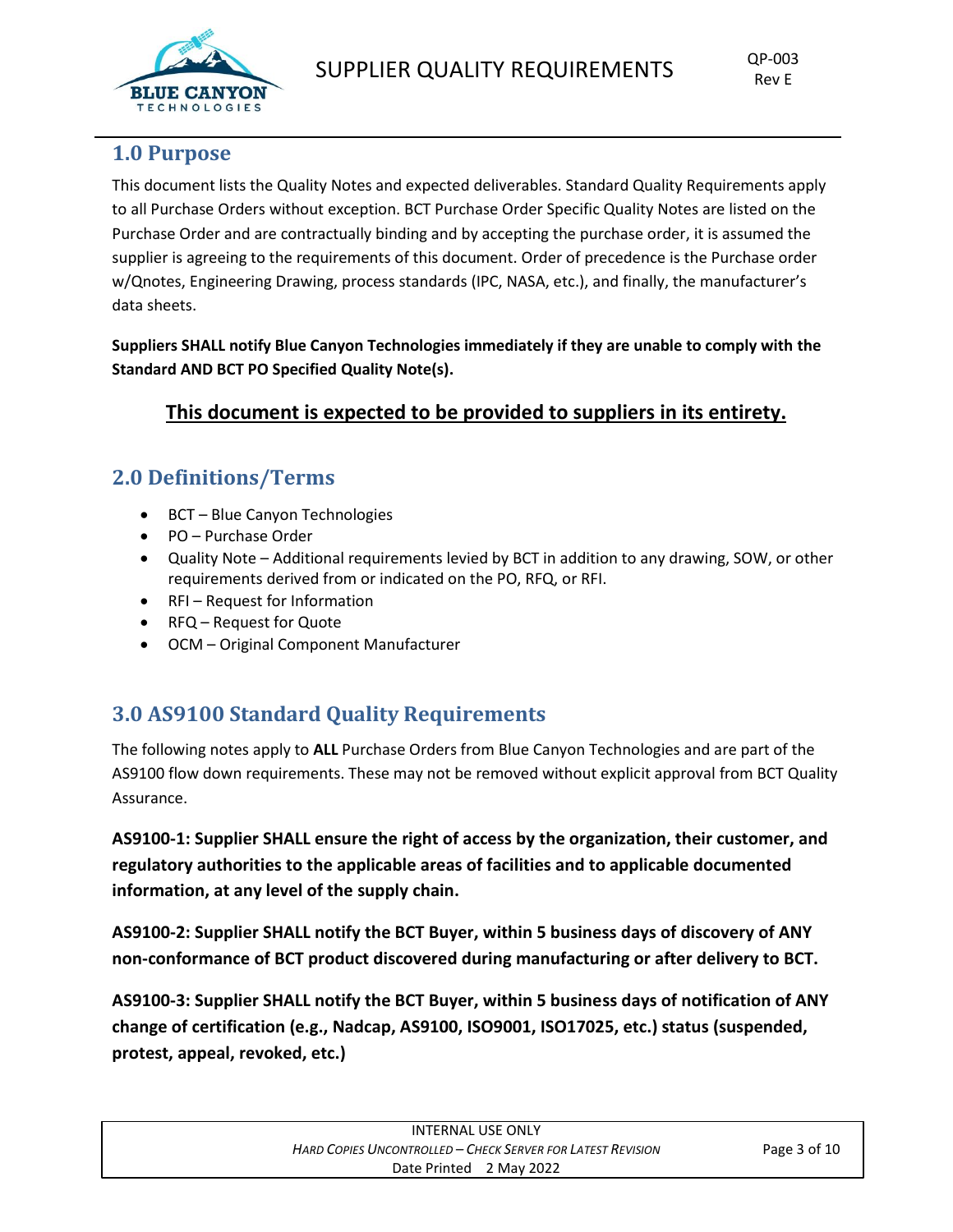

## **1.0 Purpose**

This document lists the Quality Notes and expected deliverables. Standard Quality Requirements apply to all Purchase Orders without exception. BCT Purchase Order Specific Quality Notes are listed on the Purchase Order and are contractually binding and by accepting the purchase order, it is assumed the supplier is agreeing to the requirements of this document. Order of precedence is the Purchase order w/Qnotes, Engineering Drawing, process standards (IPC, NASA, etc.), and finally, the manufacturer's data sheets.

**Suppliers SHALL notify Blue Canyon Technologies immediately if they are unable to comply with the Standard AND BCT PO Specified Quality Note(s).** 

### **This document is expected to be provided to suppliers in its entirety.**

## **2.0 Definitions/Terms**

- BCT Blue Canyon Technologies
- PO Purchase Order
- Quality Note Additional requirements levied by BCT in addition to any drawing, SOW, or other requirements derived from or indicated on the PO, RFQ, or RFI.
- RFI Request for Information
- RFQ Request for Quote
- OCM Original Component Manufacturer

## **3.0 AS9100 Standard Quality Requirements**

The following notes apply to **ALL** Purchase Orders from Blue Canyon Technologies and are part of the AS9100 flow down requirements. These may not be removed without explicit approval from BCT Quality Assurance.

**AS9100-1: Supplier SHALL ensure the right of access by the organization, their customer, and regulatory authorities to the applicable areas of facilities and to applicable documented information, at any level of the supply chain.**

**AS9100-2: Supplier SHALL notify the BCT Buyer, within 5 business days of discovery of ANY non-conformance of BCT product discovered during manufacturing or after delivery to BCT.** 

**AS9100-3: Supplier SHALL notify the BCT Buyer, within 5 business days of notification of ANY change of certification (e.g., Nadcap, AS9100, ISO9001, ISO17025, etc.) status (suspended, protest, appeal, revoked, etc.)**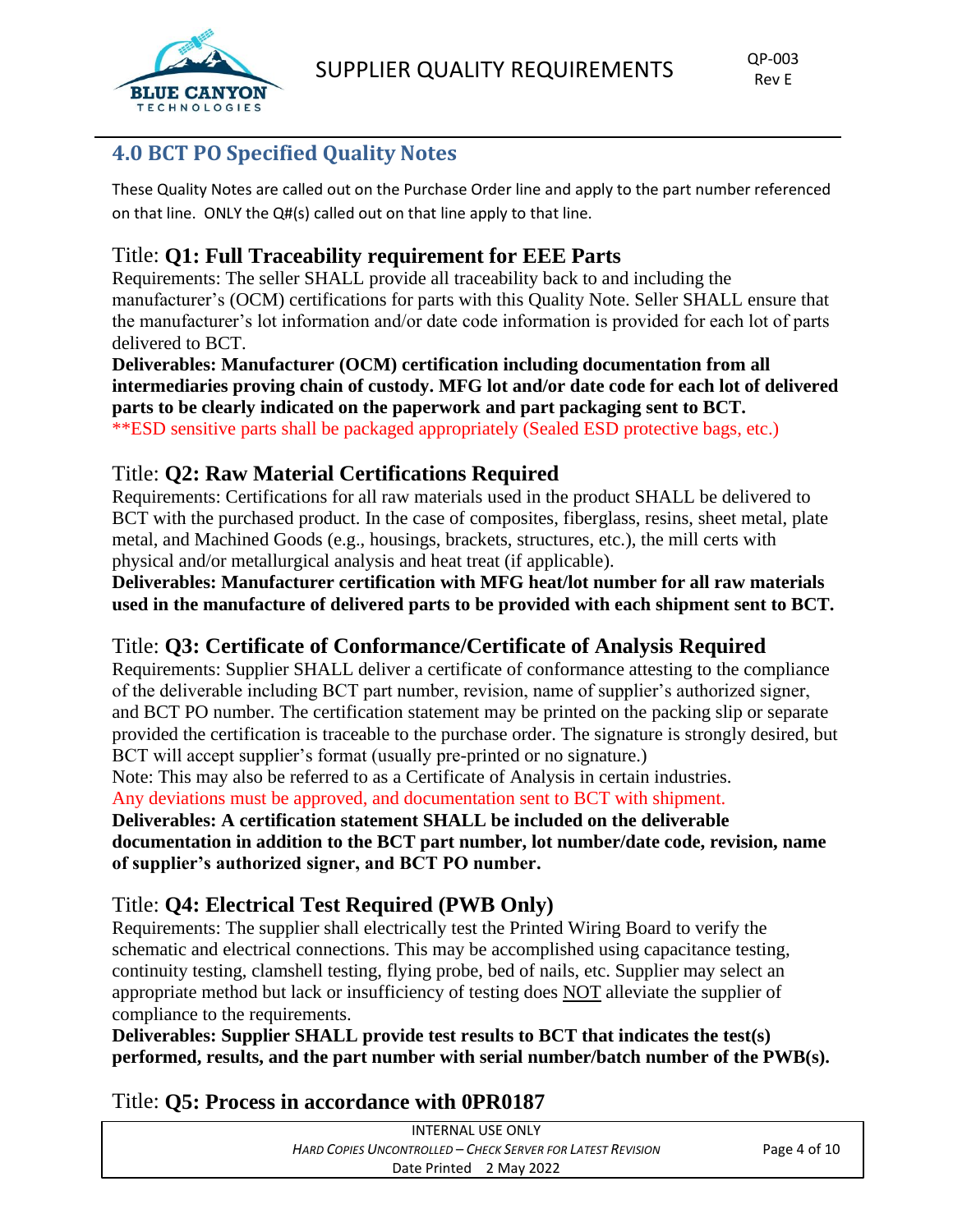

## **4.0 BCT PO Specified Quality Notes**

These Quality Notes are called out on the Purchase Order line and apply to the part number referenced on that line. ONLY the Q#(s) called out on that line apply to that line.

## Title: **Q1: Full Traceability requirement for EEE Parts**

Requirements: The seller SHALL provide all traceability back to and including the manufacturer's (OCM) certifications for parts with this Quality Note. Seller SHALL ensure that the manufacturer's lot information and/or date code information is provided for each lot of parts delivered to BCT.

**Deliverables: Manufacturer (OCM) certification including documentation from all intermediaries proving chain of custody. MFG lot and/or date code for each lot of delivered parts to be clearly indicated on the paperwork and part packaging sent to BCT.**  \*\*ESD sensitive parts shall be packaged appropriately (Sealed ESD protective bags, etc.)

## Title: **Q2: Raw Material Certifications Required**

Requirements: Certifications for all raw materials used in the product SHALL be delivered to BCT with the purchased product. In the case of composites, fiberglass, resins, sheet metal, plate metal, and Machined Goods (e.g., housings, brackets, structures, etc.), the mill certs with physical and/or metallurgical analysis and heat treat (if applicable).

**Deliverables: Manufacturer certification with MFG heat/lot number for all raw materials used in the manufacture of delivered parts to be provided with each shipment sent to BCT.** 

## Title: **Q3: Certificate of Conformance/Certificate of Analysis Required**

Requirements: Supplier SHALL deliver a certificate of conformance attesting to the compliance of the deliverable including BCT part number, revision, name of supplier's authorized signer, and BCT PO number. The certification statement may be printed on the packing slip or separate provided the certification is traceable to the purchase order. The signature is strongly desired, but BCT will accept supplier's format (usually pre-printed or no signature.)

Note: This may also be referred to as a Certificate of Analysis in certain industries.

Any deviations must be approved, and documentation sent to BCT with shipment.

**Deliverables: A certification statement SHALL be included on the deliverable documentation in addition to the BCT part number, lot number/date code, revision, name of supplier's authorized signer, and BCT PO number.** 

## Title: **Q4: Electrical Test Required (PWB Only)**

Requirements: The supplier shall electrically test the Printed Wiring Board to verify the schematic and electrical connections. This may be accomplished using capacitance testing, continuity testing, clamshell testing, flying probe, bed of nails, etc. Supplier may select an appropriate method but lack or insufficiency of testing does NOT alleviate the supplier of compliance to the requirements.

**Deliverables: Supplier SHALL provide test results to BCT that indicates the test(s) performed, results, and the part number with serial number/batch number of the PWB(s).**

#### Title: **Q5: Process in accordance with 0PR0187**

| INTERNAL USE ONLY                                           |                         |  |  |
|-------------------------------------------------------------|-------------------------|--|--|
| Hard Copies Uncontrolled – Check Server for Latest Revision |                         |  |  |
|                                                             | Date Printed 2 May 2022 |  |  |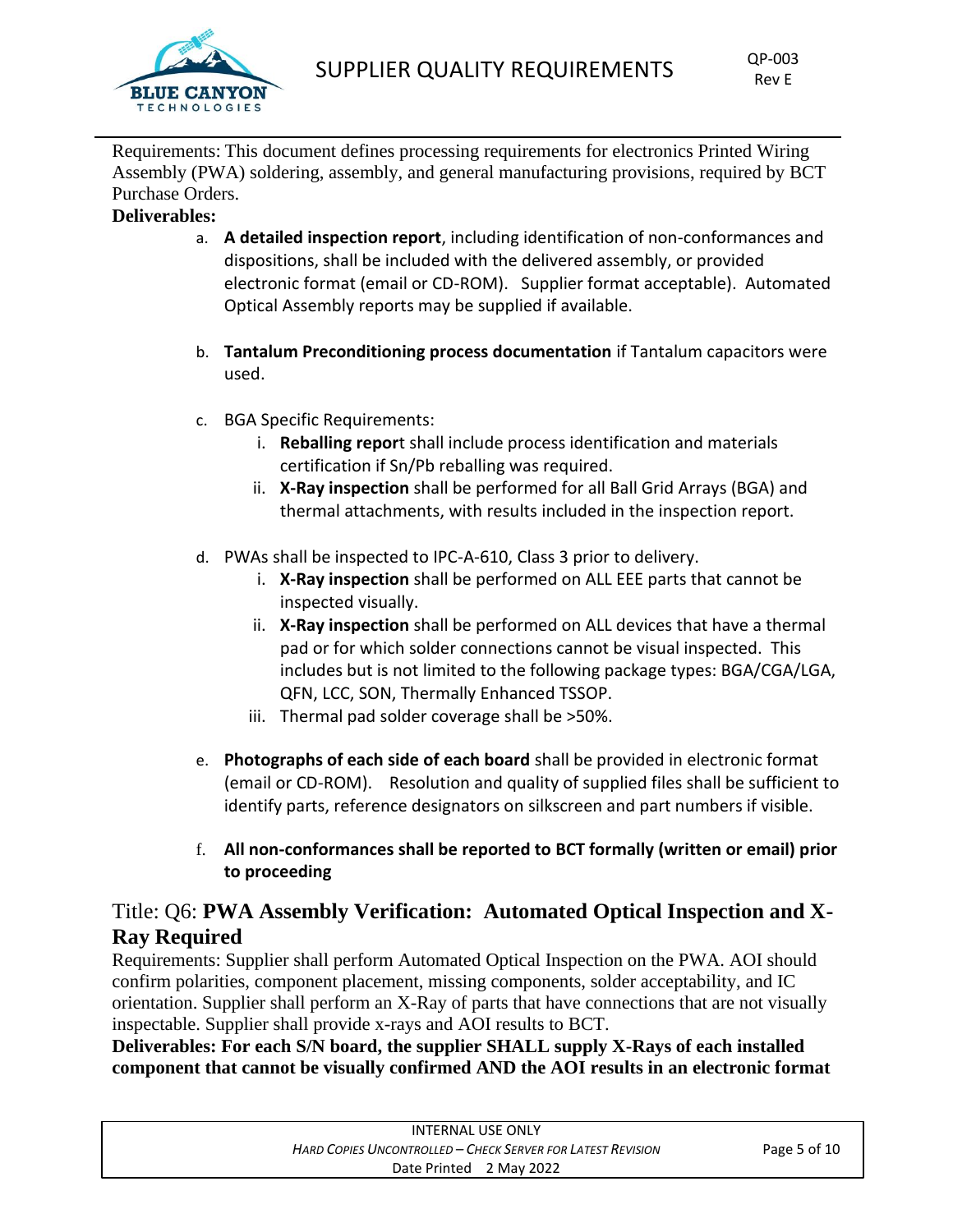

Requirements: This document defines processing requirements for electronics Printed Wiring Assembly (PWA) soldering, assembly, and general manufacturing provisions, required by BCT Purchase Orders.

#### **Deliverables:**

- a. **A detailed inspection report**, including identification of non-conformances and dispositions, shall be included with the delivered assembly, or provided electronic format (email or CD-ROM). Supplier format acceptable). Automated Optical Assembly reports may be supplied if available.
- b. **Tantalum Preconditioning process documentation** if Tantalum capacitors were used.
- c. BGA Specific Requirements:
	- i. **Reballing repor**t shall include process identification and materials certification if Sn/Pb reballing was required.
	- ii. **X-Ray inspection** shall be performed for all Ball Grid Arrays (BGA) and thermal attachments, with results included in the inspection report.
- d. PWAs shall be inspected to IPC-A-610, Class 3 prior to delivery.
	- i. **X-Ray inspection** shall be performed on ALL EEE parts that cannot be inspected visually.
	- ii. **X-Ray inspection** shall be performed on ALL devices that have a thermal pad or for which solder connections cannot be visual inspected. This includes but is not limited to the following package types: BGA/CGA/LGA, QFN, LCC, SON, Thermally Enhanced TSSOP.
	- iii. Thermal pad solder coverage shall be >50%.
- e. **Photographs of each side of each board** shall be provided in electronic format (email or CD-ROM). Resolution and quality of supplied files shall be sufficient to identify parts, reference designators on silkscreen and part numbers if visible.
- f. **All non-conformances shall be reported to BCT formally (written or email) prior to proceeding**

## Title: Q6: **PWA Assembly Verification: Automated Optical Inspection and X-Ray Required**

Requirements: Supplier shall perform Automated Optical Inspection on the PWA. AOI should confirm polarities, component placement, missing components, solder acceptability, and IC orientation. Supplier shall perform an X-Ray of parts that have connections that are not visually inspectable. Supplier shall provide x-rays and AOI results to BCT.

**Deliverables: For each S/N board, the supplier SHALL supply X-Rays of each installed component that cannot be visually confirmed AND the AOI results in an electronic format**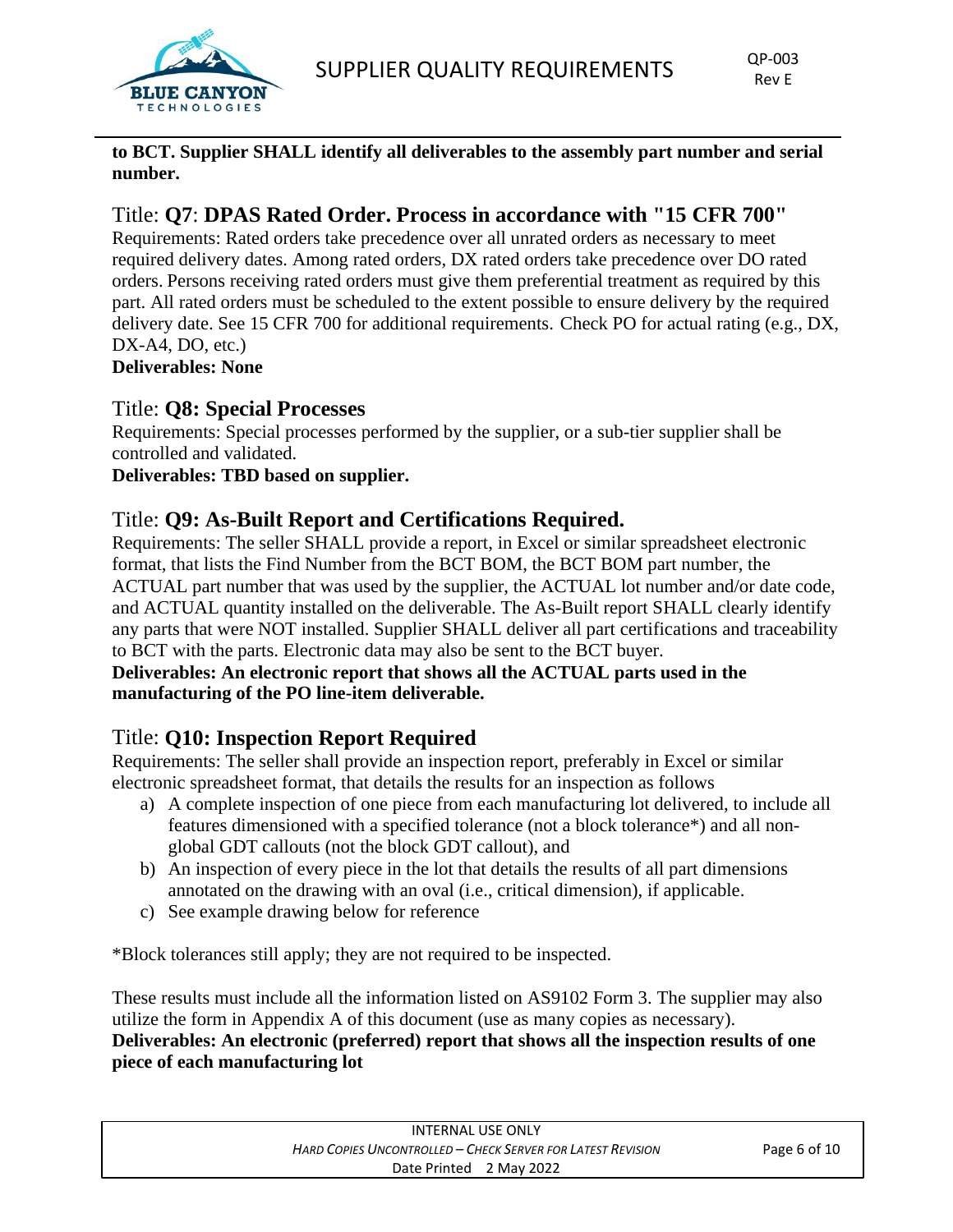

#### **to BCT. Supplier SHALL identify all deliverables to the assembly part number and serial number.**

## Title: **Q7**: **DPAS Rated Order. Process in accordance with "15 CFR 700"**

Requirements: Rated orders take precedence over all unrated orders as necessary to meet required delivery dates. Among rated orders, DX rated orders take precedence over DO rated orders. Persons receiving rated orders must give them preferential treatment as required by this part. All rated orders must be scheduled to the extent possible to ensure delivery by the required delivery date. See 15 CFR 700 for additional requirements. Check PO for actual rating (e.g., DX, DX-A4, DO, etc.)

#### **Deliverables: None**

#### Title: **Q8: Special Processes**

Requirements: Special processes performed by the supplier, or a sub-tier supplier shall be controlled and validated.

#### **Deliverables: TBD based on supplier.**

## Title: **Q9: As-Built Report and Certifications Required.**

Requirements: The seller SHALL provide a report, in Excel or similar spreadsheet electronic format, that lists the Find Number from the BCT BOM, the BCT BOM part number, the ACTUAL part number that was used by the supplier, the ACTUAL lot number and/or date code, and ACTUAL quantity installed on the deliverable. The As-Built report SHALL clearly identify any parts that were NOT installed. Supplier SHALL deliver all part certifications and traceability to BCT with the parts. Electronic data may also be sent to the BCT buyer.

#### **Deliverables: An electronic report that shows all the ACTUAL parts used in the manufacturing of the PO line-item deliverable.**

## Title: **Q10: Inspection Report Required**

Requirements: The seller shall provide an inspection report, preferably in Excel or similar electronic spreadsheet format, that details the results for an inspection as follows

- a) A complete inspection of one piece from each manufacturing lot delivered, to include all features dimensioned with a specified tolerance (not a block tolerance\*) and all nonglobal GDT callouts (not the block GDT callout), and
- b) An inspection of every piece in the lot that details the results of all part dimensions annotated on the drawing with an oval (i.e., critical dimension), if applicable.
- c) See example drawing below for reference

\*Block tolerances still apply; they are not required to be inspected.

These results must include all the information listed on AS9102 Form 3. The supplier may also utilize the form in Appendix A of this document (use as many copies as necessary). **Deliverables: An electronic (preferred) report that shows all the inspection results of one piece of each manufacturing lot** 

| INTERNAL USE ONLY                                           |  |  |  |
|-------------------------------------------------------------|--|--|--|
| Hard Copies Uncontrolled – Check Server for Latest Revision |  |  |  |
| Date Printed 2 May 2022                                     |  |  |  |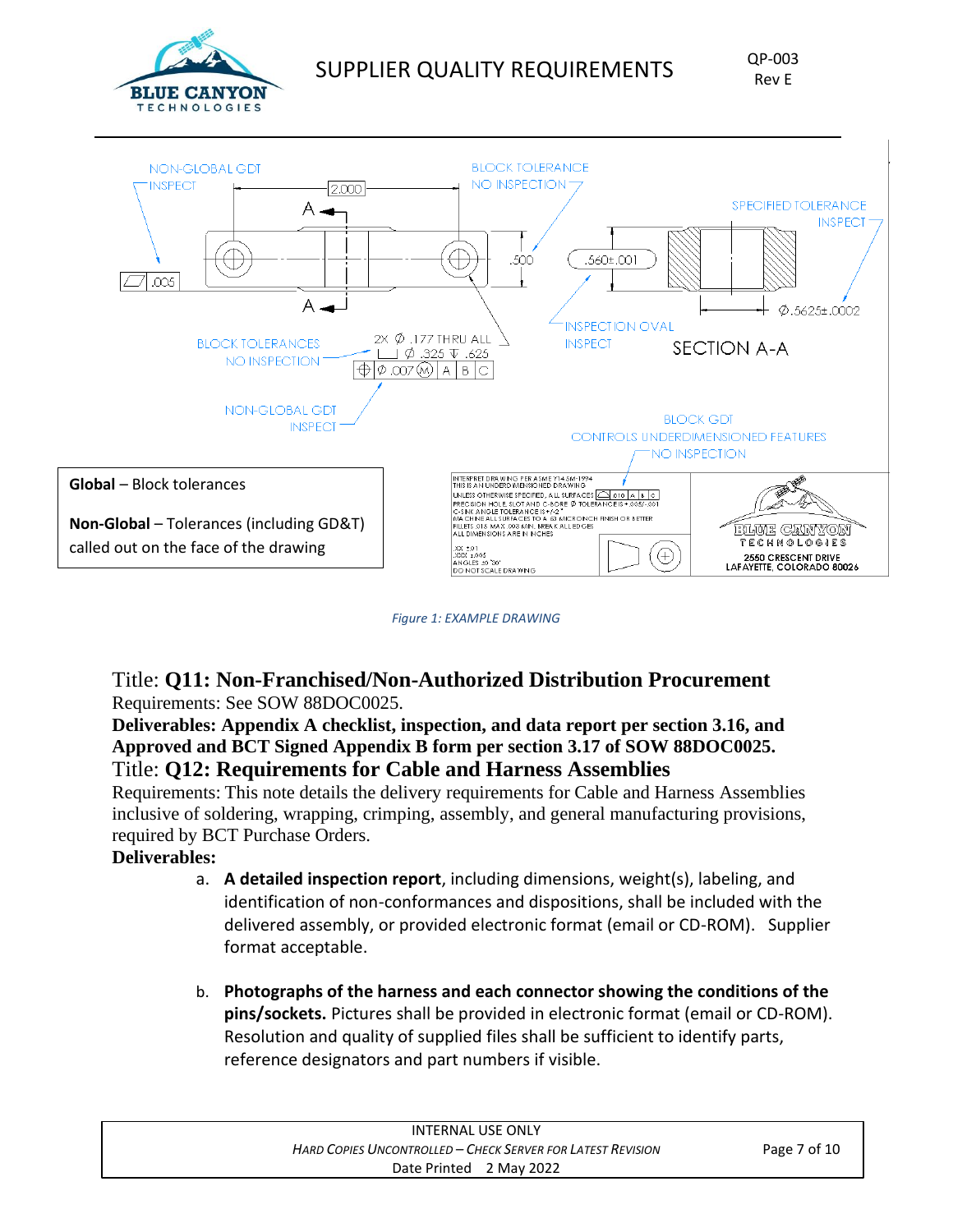



*Figure 1: EXAMPLE DRAWING*

#### Title: **Q11: Non-Franchised/Non-Authorized Distribution Procurement** Requirements: See SOW 88DOC0025.

#### **Deliverables: Appendix A checklist, inspection, and data report per section 3.16, and Approved and BCT Signed Appendix B form per section 3.17 of SOW 88DOC0025.** Title: **Q12: Requirements for Cable and Harness Assemblies**

Requirements: This note details the delivery requirements for Cable and Harness Assemblies inclusive of soldering, wrapping, crimping, assembly, and general manufacturing provisions, required by BCT Purchase Orders.

#### **Deliverables:**

- a. **A detailed inspection report**, including dimensions, weight(s), labeling, and identification of non-conformances and dispositions, shall be included with the delivered assembly, or provided electronic format (email or CD-ROM). Supplier format acceptable.
- b. **Photographs of the harness and each connector showing the conditions of the pins/sockets.** Pictures shall be provided in electronic format (email or CD-ROM). Resolution and quality of supplied files shall be sufficient to identify parts, reference designators and part numbers if visible.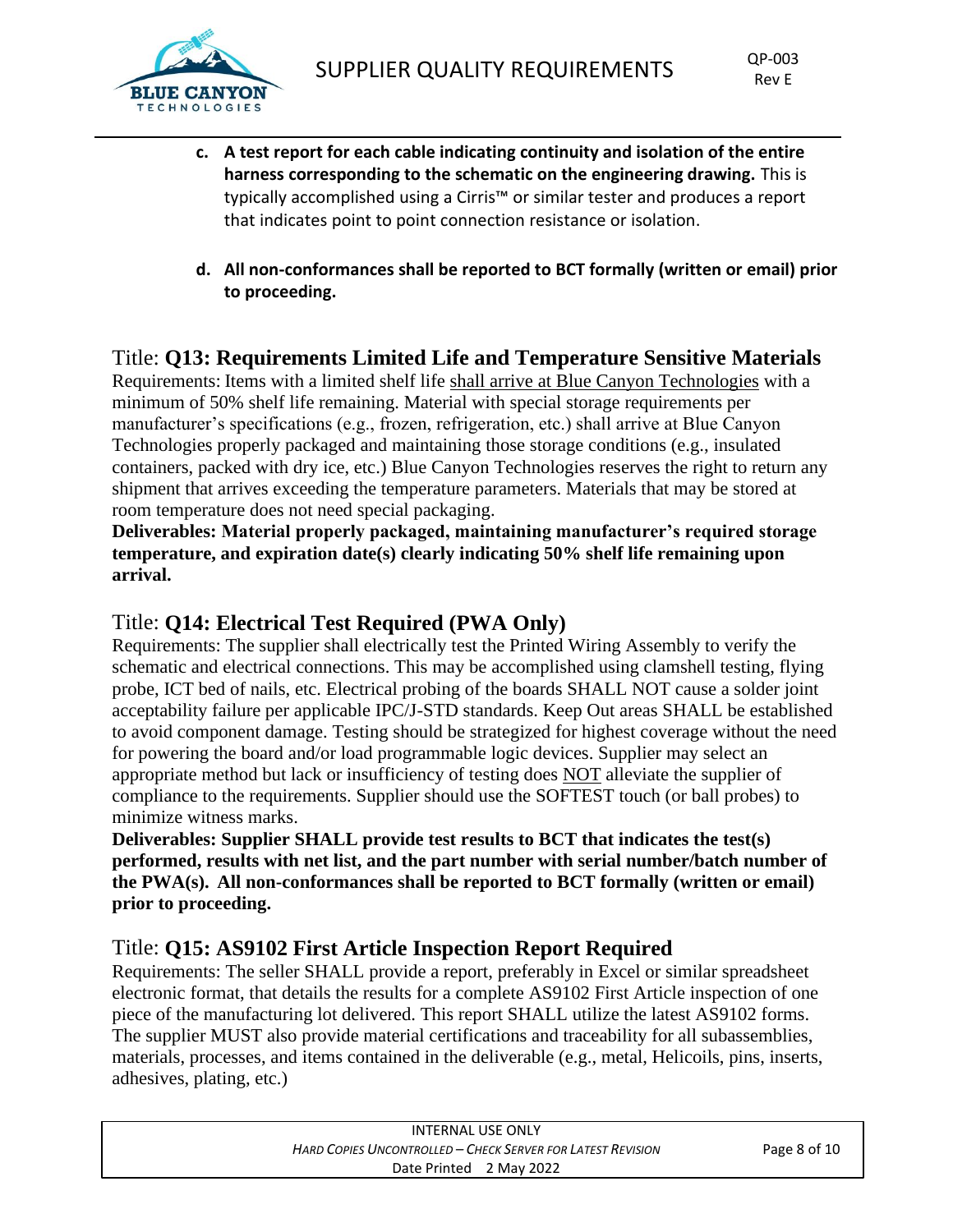

- **c. A test report for each cable indicating continuity and isolation of the entire harness corresponding to the schematic on the engineering drawing.** This is typically accomplished using a Cirris™ or similar tester and produces a report that indicates point to point connection resistance or isolation.
- **d. All non-conformances shall be reported to BCT formally (written or email) prior to proceeding.**

## Title: **Q13: Requirements Limited Life and Temperature Sensitive Materials**

Requirements: Items with a limited shelf life shall arrive at Blue Canyon Technologies with a minimum of 50% shelf life remaining. Material with special storage requirements per manufacturer's specifications (e.g., frozen, refrigeration, etc.) shall arrive at Blue Canyon Technologies properly packaged and maintaining those storage conditions (e.g., insulated containers, packed with dry ice, etc.) Blue Canyon Technologies reserves the right to return any shipment that arrives exceeding the temperature parameters. Materials that may be stored at room temperature does not need special packaging.

**Deliverables: Material properly packaged, maintaining manufacturer's required storage temperature, and expiration date(s) clearly indicating 50% shelf life remaining upon arrival.** 

## Title: **Q14: Electrical Test Required (PWA Only)**

Requirements: The supplier shall electrically test the Printed Wiring Assembly to verify the schematic and electrical connections. This may be accomplished using clamshell testing, flying probe, ICT bed of nails, etc. Electrical probing of the boards SHALL NOT cause a solder joint acceptability failure per applicable IPC/J-STD standards. Keep Out areas SHALL be established to avoid component damage. Testing should be strategized for highest coverage without the need for powering the board and/or load programmable logic devices. Supplier may select an appropriate method but lack or insufficiency of testing does NOT alleviate the supplier of compliance to the requirements. Supplier should use the SOFTEST touch (or ball probes) to minimize witness marks.

**Deliverables: Supplier SHALL provide test results to BCT that indicates the test(s) performed, results with net list, and the part number with serial number/batch number of the PWA(s). All non-conformances shall be reported to BCT formally (written or email) prior to proceeding.**

## Title: **Q15: AS9102 First Article Inspection Report Required**

Requirements: The seller SHALL provide a report, preferably in Excel or similar spreadsheet electronic format, that details the results for a complete AS9102 First Article inspection of one piece of the manufacturing lot delivered. This report SHALL utilize the latest AS9102 forms. The supplier MUST also provide material certifications and traceability for all subassemblies, materials, processes, and items contained in the deliverable (e.g., metal, Helicoils, pins, inserts, adhesives, plating, etc.)

| INTERNAL USE ONLY                                           |              |
|-------------------------------------------------------------|--------------|
| Hard Copies Uncontrolled – Check Server for Latest Revision | Page 8 of 10 |
| Date Printed 2 May 2022                                     |              |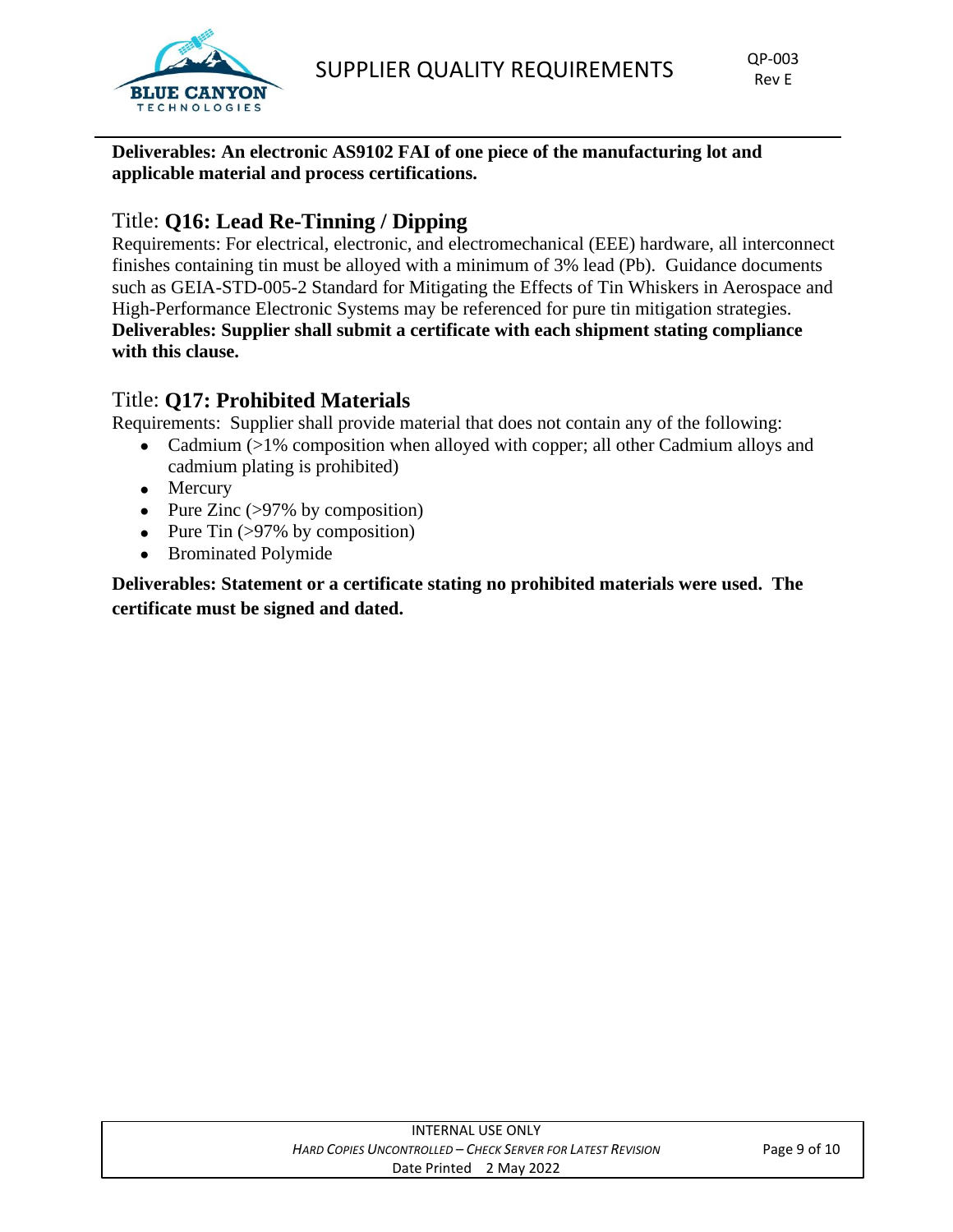

**Deliverables: An electronic AS9102 FAI of one piece of the manufacturing lot and applicable material and process certifications.** 

## Title: **Q16: Lead Re-Tinning / Dipping**

Requirements: For electrical, electronic, and electromechanical (EEE) hardware, all interconnect finishes containing tin must be alloyed with a minimum of 3% lead (Pb). Guidance documents such as GEIA-STD-005-2 Standard for Mitigating the Effects of Tin Whiskers in Aerospace and High-Performance Electronic Systems may be referenced for pure tin mitigation strategies. **Deliverables: Supplier shall submit a certificate with each shipment stating compliance with this clause.**

## Title: **Q17: Prohibited Materials**

Requirements: Supplier shall provide material that does not contain any of the following:

- Cadmium (>1% composition when alloyed with copper; all other Cadmium alloys and cadmium plating is prohibited)
- Mercury
- Pure Zinc  $(>97\%$  by composition)
- Pure Tin  $(>\frac{97}{%}$  by composition)
- Brominated Polymide

**Deliverables: Statement or a certificate stating no prohibited materials were used. The certificate must be signed and dated.**